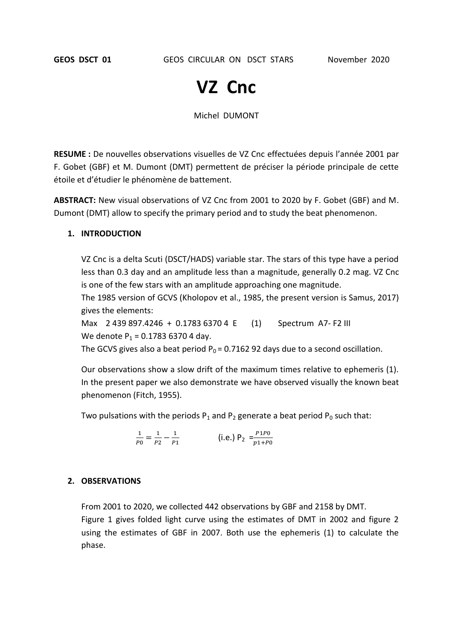# **VZ Cnc**

Michel DUMONT

**RESUME :** De nouvelles observations visuelles de VZ Cnc effectuées depuis l'année 2001 par F. Gobet (GBF) et M. Dumont (DMT) permettent de préciser la période principale de cette étoile et d'étudier le phénomène de battement.

**ABSTRACT:** New visual observations of VZ Cnc from 2001 to 2020 by F. Gobet (GBF) and M. Dumont (DMT) allow to specify the primary period and to study the beat phenomenon.

#### **1. INTRODUCTION**

VZ Cnc is a delta Scuti (DSCT/HADS) variable star. The stars of this type have a period less than 0.3 day and an amplitude less than a magnitude, generally 0.2 mag. VZ Cnc is one of the few stars with an amplitude approaching one magnitude.

The 1985 version of GCVS (Kholopov et al., 1985, the present version is Samus, 2017) gives the elements:

Max 2 439 897.4246 + 0.1783 6370 4 E (1) Spectrum A7- F2 III We denote  $P_1 = 0.178363704$  day.

The GCVS gives also a beat period  $P_0 = 0.7162$  92 days due to a second oscillation.

Our observations show a slow drift of the maximum times relative to ephemeris (1). In the present paper we also demonstrate we have observed visually the known beat phenomenon (Fitch, 1955).

Two pulsations with the periods  $P_1$  and  $P_2$  generate a beat period  $P_0$  such that:

$$
\frac{1}{p_0} = \frac{1}{p_2} - \frac{1}{p_1}
$$
 (i.e.)  $P_2 = \frac{p_1 p_0}{p_1 + p_0}$ 

#### **2. OBSERVATIONS**

From 2001 to 2020, we collected 442 observations by GBF and 2158 by DMT.

Figure 1 gives folded light curve using the estimates of DMT in 2002 and figure 2 using the estimates of GBF in 2007. Both use the ephemeris (1) to calculate the phase.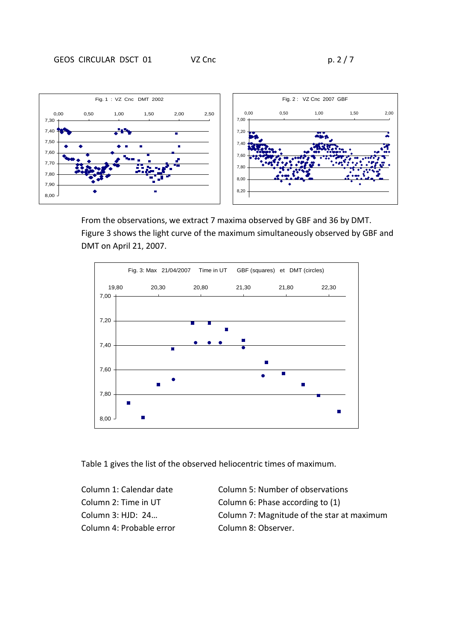

From the observations, we extract 7 maxima observed by GBF and 36 by DMT. Figure 3 shows the light curve of the maximum simultaneously observed by GBF and DMT on April 21, 2007.



Table 1 gives the list of the observed heliocentric times of maximum.

Column 1: Calendar date Column 5: Number of observations Column 2: Time in UT Column 6: Phase according to (1) Column 3: HJD: 24… Column 7: Magnitude of the star at maximum Column 4: Probable error Column 8: Observer.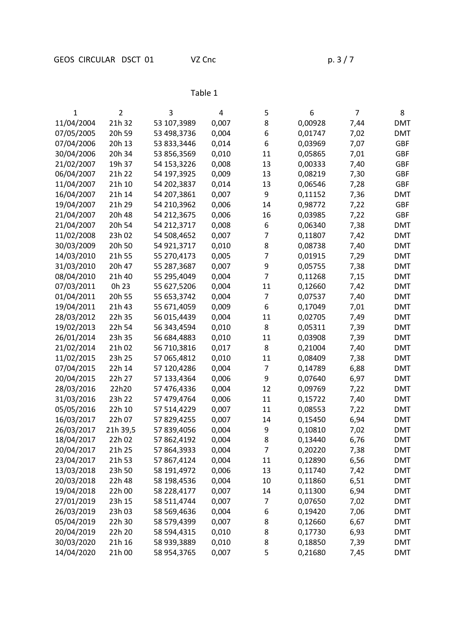# Table 1

| 1          | $\overline{2}$ | 3           | 4     | 5              | 6       | 7    | 8          |
|------------|----------------|-------------|-------|----------------|---------|------|------------|
| 11/04/2004 | 21h 32         | 53 107,3989 | 0,007 | 8              | 0,00928 | 7,44 | <b>DMT</b> |
| 07/05/2005 | 20h 59         | 53 498,3736 | 0,004 | 6              | 0,01747 | 7,02 | <b>DMT</b> |
| 07/04/2006 | 20h 13         | 53 833,3446 | 0,014 | 6              | 0,03969 | 7,07 | GBF        |
| 30/04/2006 | 20h 34         | 53 856,3569 | 0,010 | 11             | 0,05865 | 7,01 | GBF        |
| 21/02/2007 | 19h 37         | 54 153,3226 | 0,008 | 13             | 0,00333 | 7,40 | <b>GBF</b> |
| 06/04/2007 | 21h 22         | 54 197,3925 | 0,009 | 13             | 0,08219 | 7,30 | <b>GBF</b> |
| 11/04/2007 | 21h 10         | 54 202,3837 | 0,014 | 13             | 0,06546 | 7,28 | <b>GBF</b> |
| 16/04/2007 | 21h 14         | 54 207,3861 | 0,007 | 9              | 0,11152 | 7,36 | <b>DMT</b> |
| 19/04/2007 | 21h 29         | 54 210,3962 | 0,006 | 14             | 0,98772 | 7,22 | <b>GBF</b> |
| 21/04/2007 | 20h 48         | 54 212,3675 | 0,006 | 16             | 0,03985 | 7,22 | <b>GBF</b> |
| 21/04/2007 | 20h 54         | 54 212,3717 | 0,008 | 6              | 0,06340 | 7,38 | <b>DMT</b> |
| 11/02/2008 | 23h 02         | 54 508,4652 | 0,007 | $\overline{7}$ | 0,11807 | 7,42 | <b>DMT</b> |
| 30/03/2009 | 20h 50         | 54 921,3717 | 0,010 | 8              | 0,08738 | 7,40 | <b>DMT</b> |
| 14/03/2010 | 21h 55         | 55 270,4173 | 0,005 | 7              | 0,01915 | 7,29 | <b>DMT</b> |
| 31/03/2010 | 20h 47         | 55 287,3687 | 0,007 | 9              | 0,05755 | 7,38 | <b>DMT</b> |
| 08/04/2010 | 21h 40         | 55 295,4049 | 0,004 | $\overline{7}$ | 0,11268 | 7,15 | <b>DMT</b> |
| 07/03/2011 | 0h 23          | 55 627,5206 | 0,004 | 11             | 0,12660 | 7,42 | <b>DMT</b> |
| 01/04/2011 | 20h 55         | 55 653,3742 | 0,004 | $\overline{7}$ | 0,07537 | 7,40 | <b>DMT</b> |
| 19/04/2011 | 21h 43         | 55 671,4059 | 0,009 | 6              | 0,17049 | 7,01 | <b>DMT</b> |
| 28/03/2012 | 22h 35         | 56 015,4439 | 0,004 | 11             | 0,02705 | 7,49 | <b>DMT</b> |
| 19/02/2013 | 22h 54         | 56 343,4594 | 0,010 | 8              | 0,05311 | 7,39 | <b>DMT</b> |
| 26/01/2014 | 23h 35         | 56 684,4883 | 0,010 | 11             | 0,03908 | 7,39 | <b>DMT</b> |
| 21/02/2014 | 21h 02         | 56 710,3816 | 0,017 | 8              | 0,21004 | 7,40 | <b>DMT</b> |
| 11/02/2015 | 23h 25         | 57 065,4812 | 0,010 | 11             | 0,08409 | 7,38 | <b>DMT</b> |
| 07/04/2015 | 22h 14         | 57 120,4286 | 0,004 | 7              | 0,14789 | 6,88 | <b>DMT</b> |
| 20/04/2015 | 22h 27         | 57 133,4364 | 0,006 | 9              | 0,07640 | 6,97 | <b>DMT</b> |
| 28/03/2016 | 22h20          | 57 476,4336 | 0,004 | 12             | 0,09769 | 7,22 | <b>DMT</b> |
| 31/03/2016 | 23h 22         | 57 479,4764 | 0,006 | 11             | 0,15722 | 7,40 | <b>DMT</b> |
| 05/05/2016 | 22h 10         | 57 514,4229 | 0,007 | 11             | 0,08553 | 7,22 | <b>DMT</b> |
| 16/03/2017 | 22h 07         | 57 829,4255 | 0,007 | 14             | 0,15450 | 6,94 | <b>DMT</b> |
| 26/03/2017 | 21h 39,5       | 57 839,4056 | 0,004 | 9              | 0,10810 | 7,02 | <b>DMT</b> |
| 18/04/2017 | 22h 02         | 57 862,4192 | 0,004 | 8              | 0,13440 | 6,76 | <b>DMT</b> |
| 20/04/2017 | 21h 25         | 57 864,3933 | 0,004 | $\overline{7}$ | 0,20220 | 7,38 | <b>DMT</b> |
| 23/04/2017 | 21h 53         | 57 867,4124 | 0,004 | 11             | 0,12890 | 6,56 | <b>DMT</b> |
| 13/03/2018 | 23h 50         | 58 191,4972 | 0,006 | 13             | 0,11740 | 7,42 | <b>DMT</b> |
| 20/03/2018 | 22h 48         | 58 198,4536 | 0,004 | 10             | 0,11860 | 6,51 | <b>DMT</b> |
| 19/04/2018 | 22h 00         | 58 228,4177 | 0,007 | 14             | 0,11300 | 6,94 | <b>DMT</b> |
| 27/01/2019 | 23h 15         | 58 511,4744 | 0,007 | $\overline{7}$ | 0,07650 | 7,02 | <b>DMT</b> |
| 26/03/2019 | 23h 03         | 58 569,4636 | 0,004 | 6              | 0,19420 | 7,06 | <b>DMT</b> |
| 05/04/2019 | 22h 30         | 58 579,4399 | 0,007 | 8              | 0,12660 | 6,67 | <b>DMT</b> |
| 20/04/2019 | 22h 20         | 58 594,4315 | 0,010 | 8              | 0,17730 | 6,93 | <b>DMT</b> |
| 30/03/2020 | 21h 16         | 58 939,3889 | 0,010 | 8              | 0,18850 | 7,39 | <b>DMT</b> |
| 14/04/2020 | 21h 00         | 58 954,3765 | 0,007 | 5              | 0,21680 | 7,45 | <b>DMT</b> |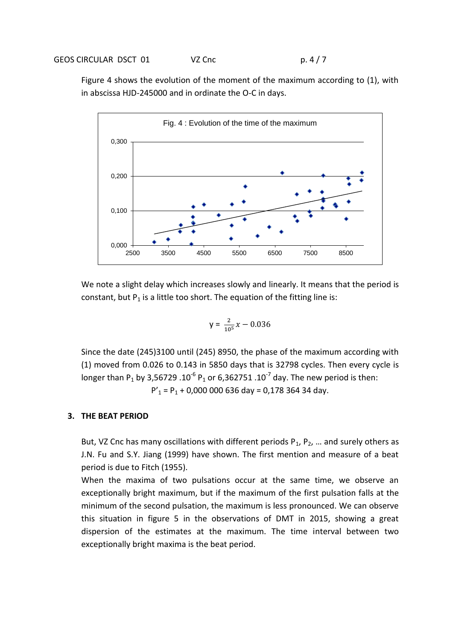Figure 4 shows the evolution of the moment of the maximum according to (1), with in abscissa HJD-245000 and in ordinate the O-C in days.



We note a slight delay which increases slowly and linearly. It means that the period is constant, but  $P_1$  is a little too short. The equation of the fitting line is:

$$
y = \frac{2}{10^5}x - 0.036
$$

Since the date (245)3100 until (245) 8950, the phase of the maximum according with (1) moved from 0.026 to 0.143 in 5850 days that is 32798 cycles. Then every cycle is longer than P<sub>1</sub> by 3,56729 .10<sup>-6</sup> P<sub>1</sub> or 6,362751 .10<sup>-7</sup> day. The new period is then:  $P'$ <sub>1</sub> = P<sub>1</sub> + 0,000 000 636 day = 0,178 364 34 day.

#### **3. THE BEAT PERIOD**

But, VZ Cnc has many oscillations with different periods  $P_1$ ,  $P_2$ , ... and surely others as J.N. Fu and S.Y. Jiang (1999) have shown. The first mention and measure of a beat period is due to Fitch (1955).

When the maxima of two pulsations occur at the same time, we observe an exceptionally bright maximum, but if the maximum of the first pulsation falls at the minimum of the second pulsation, the maximum is less pronounced. We can observe this situation in figure 5 in the observations of DMT in 2015, showing a great dispersion of the estimates at the maximum. The time interval between two exceptionally bright maxima is the beat period.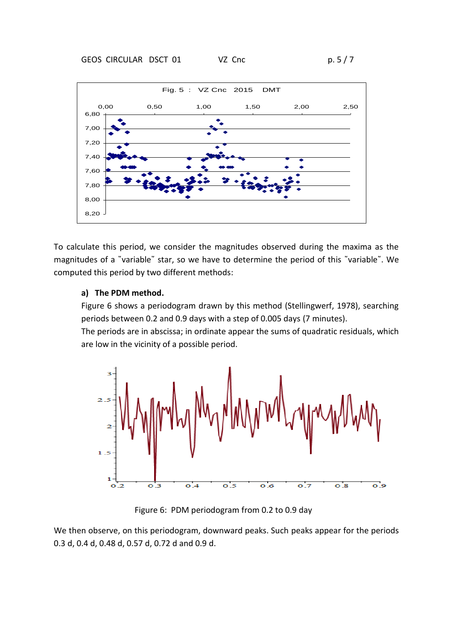

To calculate this period, we consider the magnitudes observed during the maxima as the magnitudes of a "variable" star, so we have to determine the period of this "variable". We computed this period by two different methods:

## **a) The PDM method.**

Figure 6 shows a periodogram drawn by this method (Stellingwerf, 1978), searching periods between 0.2 and 0.9 days with a step of 0.005 days (7 minutes).

The periods are in abscissa; in ordinate appear the sums of quadratic residuals, which are low in the vicinity of a possible period.



Figure 6: PDM periodogram from 0.2 to 0.9 day

We then observe, on this periodogram, downward peaks. Such peaks appear for the periods 0.3 d, 0.4 d, 0.48 d, 0.57 d, 0.72 d and 0.9 d.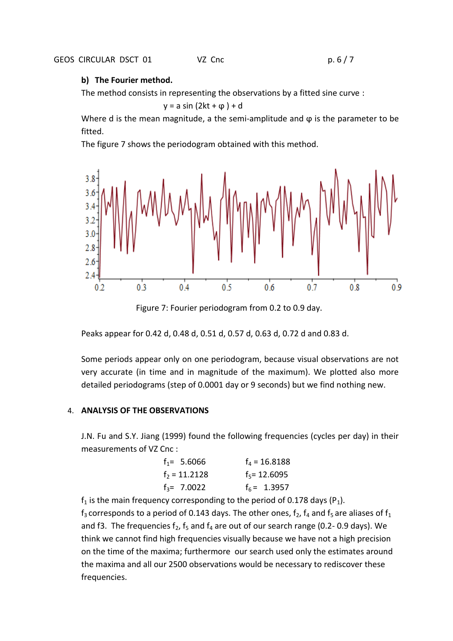## **b) The Fourier method.**

The method consists in representing the observations by a fitted sine curve :

 $y = a \sin(2kt + \varphi) + d$ 

Where d is the mean magnitude, a the semi-amplitude and  $\varphi$  is the parameter to be fitted.

The figure 7 shows the periodogram obtained with this method.



Figure 7: Fourier periodogram from 0.2 to 0.9 day.

Peaks appear for 0.42 d, 0.48 d, 0.51 d, 0.57 d, 0.63 d, 0.72 d and 0.83 d.

Some periods appear only on one periodogram, because visual observations are not very accurate (in time and in magnitude of the maximum). We plotted also more detailed periodograms (step of 0.0001 day or 9 seconds) but we find nothing new.

## 4. **ANALYSIS OF THE OBSERVATIONS**

J.N. Fu and S.Y. Jiang (1999) found the following frequencies (cycles per day) in their measurements of VZ Cnc :

| $f_1 = 5.6066$ | $f_a = 16.8188$ |
|----------------|-----------------|
| $f2 = 11.2128$ | $f_5$ = 12.6095 |
| $f_3$ = 7.0022 | $f_6$ = 1.3957  |

 $f_1$  is the main frequency corresponding to the period of 0.178 days (P<sub>1</sub>).  $f_3$  corresponds to a period of 0.143 days. The other ones,  $f_2$ ,  $f_4$  and  $f_5$  are aliases of  $f_1$ and f3. The frequencies  $f_2$ ,  $f_5$  and  $f_4$  are out of our search range (0.2-0.9 days). We think we cannot find high frequencies visually because we have not a high precision on the time of the maxima; furthermore our search used only the estimates around the maxima and all our 2500 observations would be necessary to rediscover these frequencies.